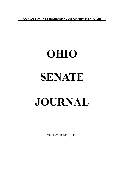**JOURNALS OF THE SENATE AND HOUSE OF REPRESENTATIVES**

# **OHIO SENATE JOURNAL**

MONDAY, JUNE 13, 2022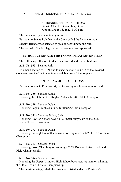## ONE HUNDRED FIFTY-EIGHTH DAY Senate Chamber, Columbus, Ohio **Monday, June 13, 2022, 9:30 a.m.**

The Senate met pursuant to adjournment.

Pursuant to Senate Rule No. 3, the Clerk called the Senate to order.

Senator Brenner was selected to preside according to the rule.

The journal of the last legislative day was read and approved.

### **INTRODUCTION AND FIRST CONSIDERATION OF BILLS**

The following bill was introduced and considered for the first time:

**S. B. No. 350 -** Senator Rulli.

To amend section 4501.21 and to enact section 4503.533 of the Revised Code to create the "Ohio Conference of Teamsters" license plate.

### **OFFERING OF RESOLUTIONS**

Pursuant to Senate Rule No. 54, the following resolutions were offered:

**S. R. No. 369** - Senator Kunze. Honoring the Dublin Girls Rugby Club as the 2022 State Champion.

**S. R. No. 370** - Senator Dolan. Honoring Logan Smith as a 2022 SkillsUSA Ohio Champion.

**S. R. No. 371** - Senators Dolan, Cirino.

Honoring Hawken School boys 4x100-meter relay team as the 2022 Division II State Champion.

**S. R. No. 372** - Senator Dolan.

Honoring Carleigh Horwath and Anthony Trapletti as 2022 SkillsUSA State Champions.

**S. R. No. 373** - Senator Dolan.

Honoring Jakob Oldenburg on winning a 2022 Division I State Track and Field Championship.

**S. R. No. 374** - Senator Kunze.

Honoring the Upper Arlington High School boys lacrosse team on winning the 2022 Division I State Championship.

The question being, "Shall the resolutions listed under the President's